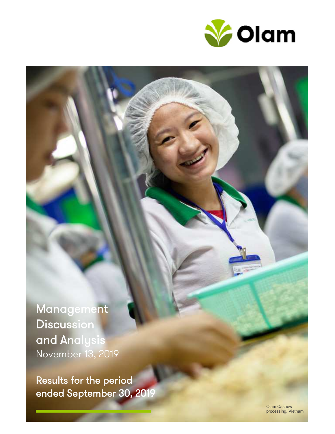

Management **Discussion** and Analysis November 13, 2019

Results for the period ended September 30, 2019

> Olam Cashew processing, Vietnam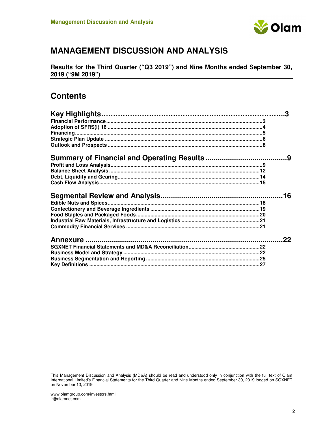

# **MANAGEMENT DISCUSSION AND ANALYSIS**

**Results for the Third Quarter ("Q3 2019") and Nine Months ended September 30, 2019 ("9M 2019")** 

# **Contents**

| 3   |
|-----|
|     |
|     |
|     |
|     |
|     |
|     |
|     |
|     |
|     |
|     |
|     |
| .16 |
|     |
|     |
|     |
|     |
|     |
| クク  |
|     |
|     |
|     |

This Management Discussion and Analysis (MD&A) should be read and understood only in conjunction with the full text of Olam International Limited's Financial Statements for the Third Quarter and Nine Months ended September 30, 2019 lodged on SGXNET on November 13, 2019.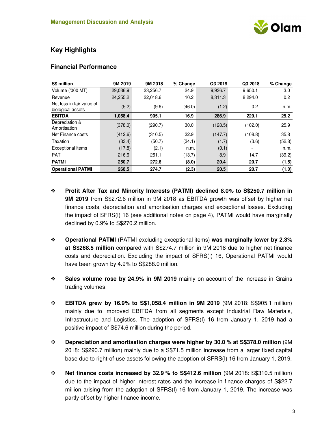

# **Key Highlights**

### **Financial Performance**

| <b>S\$ million</b>                             | 9M 2019  | 9M 2018  | % Change | Q3 2019 | Q3 2018 | % Change |
|------------------------------------------------|----------|----------|----------|---------|---------|----------|
| <b>Volume ('000 MT)</b>                        | 29,036.9 | 23,256.7 | 24.9     | 9,936.7 | 9,650.1 | 3.0      |
| Revenue                                        | 24,255.2 | 22,018.6 | 10.2     | 8,311.3 | 8,294.0 | 0.2      |
| Net loss in fair value of<br>biological assets | (5.2)    | (9.6)    | (46.0)   | (1.2)   | 0.2     | n.m.     |
| <b>EBITDA</b>                                  | 1,058.4  | 905.1    | 16.9     | 286.9   | 229.1   | 25.2     |
| Depreciation &<br>Amortisation                 | (378.0)  | (290.7)  | 30.0     | (128.5) | (102.0) | 25.9     |
| Net Finance costs                              | (412.6)  | (310.5)  | 32.9     | (147.7) | (108.8) | 35.8     |
| Taxation                                       | (33.4)   | (50.7)   | (34.1)   | (1.7)   | (3.6)   | (52.8)   |
| <b>Exceptional items</b>                       | (17.8)   | (2.1)    | n.m.     | (0.1)   | -       | n.m.     |
| <b>PAT</b>                                     | 216.6    | 251.1    | (13.7)   | 8.9     | 14.7    | (39.2)   |
| <b>PATMI</b>                                   | 250.7    | 272.6    | (8.0)    | 20.4    | 20.7    | (1.5)    |
| <b>Operational PATMI</b>                       | 268.5    | 274.7    | (2.3)    | 20.5    | 20.7    | (1.0)    |

- **Profit After Tax and Minority Interests (PATMI) declined 8.0% to S\$250.7 million in 9M 2019** from S\$272.6 million in 9M 2018 as EBITDA growth was offset by higher net finance costs, depreciation and amortisation charges and exceptional losses. Excluding the impact of SFRS(I) 16 (see additional notes on page 4), PATMI would have marginally declined by 0.9% to S\$270.2 million.
- **Operational PATMI** (PATMI excluding exceptional items) **was marginally lower by 2.3% at S\$268.5 million** compared with S\$274.7 million in 9M 2018 due to higher net finance costs and depreciation. Excluding the impact of SFRS(I) 16, Operational PATMI would have been grown by 4.9% to S\$288.0 million.
- **Sales volume rose by 24.9% in 9M 2019** mainly on account of the increase in Grains trading volumes.
- **EBITDA grew by 16.9% to S\$1,058.4 million in 9M 2019** (9M 2018: S\$905.1 million) mainly due to improved EBITDA from all segments except Industrial Raw Materials, Infrastructure and Logistics. The adoption of SFRS(I) 16 from January 1, 2019 had a positive impact of S\$74.6 million during the period.
- **Depreciation and amortisation charges were higher by 30.0 % at S\$378.0 million** (9M 2018: S\$290.7 million) mainly due to a S\$71.5 million increase from a larger fixed capital base due to right-of-use assets following the adoption of SFRS(I) 16 from January 1, 2019.
- **Net finance costs increased by 32.9 % to S\$412.6 million** (9M 2018: S\$310.5 million) due to the impact of higher interest rates and the increase in finance charges of S\$22.7 million arising from the adoption of SFRS(I) 16 from January 1, 2019. The increase was partly offset by higher finance income.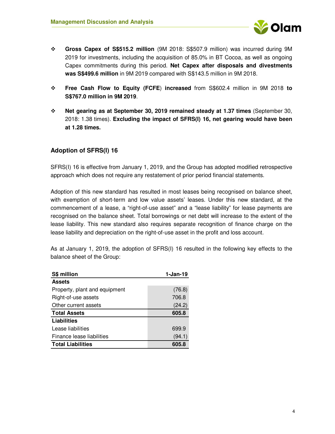

- **Gross Capex of S\$515.2 million** (9M 2018: S\$507.9 million) was incurred during 9M 2019 for investments, including the acquisition of 85.0% in BT Cocoa, as well as ongoing Capex commitments during this period. **Net Capex after disposals and divestments was S\$499.6 million** in 9M 2019 compared with S\$143.5 million in 9M 2018.
- **Free Cash Flow to Equity (FCFE**) **increased** from S\$602.4 million in 9M 2018 **to S\$767.0 million in 9M 2019**.
- **Net gearing as at September 30, 2019 remained steady at 1.37 times** (September 30, 2018: 1.38 times). **Excluding the impact of SFRS(I) 16, net gearing would have been at 1.28 times.**

### **Adoption of SFRS(I) 16**

SFRS(I) 16 is effective from January 1, 2019, and the Group has adopted modified retrospective approach which does not require any restatement of prior period financial statements.

Adoption of this new standard has resulted in most leases being recognised on balance sheet, with exemption of short-term and low value assets' leases. Under this new standard, at the commencement of a lease, a "right-of-use asset" and a "lease liability" for lease payments are recognised on the balance sheet. Total borrowings or net debt will increase to the extent of the lease liability. This new standard also requires separate recognition of finance charge on the lease liability and depreciation on the right-of-use asset in the profit and loss account.

As at January 1, 2019, the adoption of SFRS(I) 16 resulted in the following key effects to the balance sheet of the Group:

| S\$ million                   | $1-Jan-19$ |
|-------------------------------|------------|
| <b>Assets</b>                 |            |
| Property, plant and equipment | (76.8)     |
| Right-of-use assets           | 706.8      |
| Other current assets          | (24.2)     |
| <b>Total Assets</b>           | 605.8      |
| Liabilities                   |            |
| Lease liabilities             | 699.9      |
| Finance lease liabilities     | (94.1)     |
| <b>Total Liabilities</b>      | 605.8      |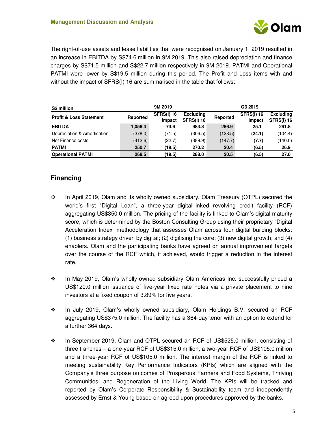

The right-of-use assets and lease liabilities that were recognised on January 1, 2019 resulted in an increase in EBITDA by S\$74.6 million in 9M 2019. This also raised depreciation and finance charges by S\$71.5 million and S\$22.7 million respectively in 9M 2019. PATMI and Operational PATMI were lower by S\$19.5 million during this period. The Profit and Loss items with and without the impact of SFRS(I) 16 are summarised in the table that follows:

| S\$ million                        |                                         | 9M 2019 |                                       |          | Q3 2019                                                              |         |
|------------------------------------|-----------------------------------------|---------|---------------------------------------|----------|----------------------------------------------------------------------|---------|
| <b>Profit &amp; Loss Statement</b> | <b>SFRS(I) 16</b><br>Reported<br>Impact |         | <b>Excluding</b><br><b>SFRS(I) 16</b> | Reported | <b>SFRS(I) 16</b><br><b>Excluding</b><br><b>SFRS(I) 16</b><br>Impact |         |
| <b>EBITDA</b>                      | 1.058.4                                 | 74.6    | 983.8                                 | 286.9    | 25.1                                                                 | 261.8   |
| Depreciation & Amortisation        | (378.0)                                 | (71.5)  | (306.5)                               | (128.5)  | (24.1)                                                               | (104.4) |
| Net Finance costs                  | (412.6)                                 | (22.7)  | (389.9)                               | (147.7)  | (7.7)                                                                | (140.0) |
| <b>PATMI</b>                       | 250.7                                   | (19.5)  | 270.2                                 | 20.4     | (6.5)                                                                | 26.9    |
| <b>Operational PATMI</b>           | 268.5                                   | (19.5)  | 288.0                                 | 20.5     | (6.5)                                                                | 27.0    |

## **Financing**

- $\div$  In April 2019, Olam and its wholly owned subsidiary, Olam Treasury (OTPL) secured the world's first "Digital Loan", a three-year digital-linked revolving credit facility (RCF) aggregating US\$350.0 million. The pricing of the facility is linked to Olam's digital maturity score, which is determined by the Boston Consulting Group using their proprietary "Digital Acceleration Index" methodology that assesses Olam across four digital building blocks: (1) business strategy driven by digital; (2) digitising the core; (3) new digital growth; and (4) enablers. Olam and the participating banks have agreed on annual improvement targets over the course of the RCF which, if achieved, would trigger a reduction in the interest rate.
- In May 2019, Olam's wholly-owned subsidiary Olam Americas Inc. successfully priced a US\$120.0 million issuance of five-year fixed rate notes via a private placement to nine investors at a fixed coupon of 3.89% for five years.
- In July 2019, Olam's wholly owned subsidiary, Olam Holdings B.V. secured an RCF aggregating US\$375.0 million. The facility has a 364-day tenor with an option to extend for a further 364 days.
- \* In September 2019, Olam and OTPL secured an RCF of US\$525.0 million, consisting of three tranches – a one-year RCF of US\$315.0 million, a two-year RCF of US\$105.0 million and a three-year RCF of US\$105.0 million. The interest margin of the RCF is linked to meeting sustainability Key Performance Indicators (KPIs) which are aligned with the Company's three purpose outcomes of Prosperous Farmers and Food Systems, Thriving Communities, and Regeneration of the Living World. The KPIs will be tracked and reported by Olam's Corporate Responsibility & Sustainability team and independently assessed by Ernst & Young based on agreed-upon procedures approved by the banks.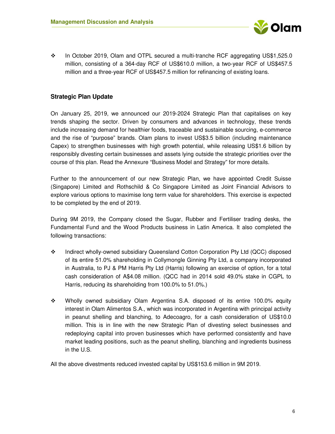

 In October 2019, Olam and OTPL secured a multi-tranche RCF aggregating US\$1,525.0 million, consisting of a 364-day RCF of US\$610.0 million, a two-year RCF of US\$457.5 million and a three-year RCF of US\$457.5 million for refinancing of existing loans.

### **Strategic Plan Update**

On January 25, 2019, we announced our 2019-2024 Strategic Plan that capitalises on key trends shaping the sector. Driven by consumers and advances in technology, these trends include increasing demand for healthier foods, traceable and sustainable sourcing, e-commerce and the rise of "purpose" brands. Olam plans to invest US\$3.5 billion (including maintenance Capex) to strengthen businesses with high growth potential, while releasing US\$1.6 billion by responsibly divesting certain businesses and assets lying outside the strategic priorities over the course of this plan. Read the Annexure "Business Model and Strategy" for more details.

Further to the announcement of our new Strategic Plan, we have appointed Credit Suisse (Singapore) Limited and Rothschild & Co Singapore Limited as Joint Financial Advisors to explore various options to maximise long term value for shareholders. This exercise is expected to be completed by the end of 2019.

During 9M 2019, the Company closed the Sugar, Rubber and Fertiliser trading desks, the Fundamental Fund and the Wood Products business in Latin America. It also completed the following transactions:

- Indirect wholly-owned subsidiary Queensland Cotton Corporation Pty Ltd (QCC) disposed of its entire 51.0% shareholding in Collymongle Ginning Pty Ltd, a company incorporated in Australia, to PJ & PM Harris Pty Ltd (Harris) following an exercise of option, for a total cash consideration of A\$4.08 million. (QCC had in 2014 sold 49.0% stake in CGPL to Harris, reducing its shareholding from 100.0% to 51.0%.)
- Wholly owned subsidiary Olam Argentina S.A. disposed of its entire 100.0% equity interest in Olam Alimentos S.A., which was incorporated in Argentina with principal activity in peanut shelling and blanching, to Adecoagro, for a cash consideration of US\$10.0 million. This is in line with the new Strategic Plan of divesting select businesses and redeploying capital into proven businesses which have performed consistently and have market leading positions, such as the peanut shelling, blanching and ingredients business in the U.S.

All the above divestments reduced invested capital by US\$153.6 million in 9M 2019.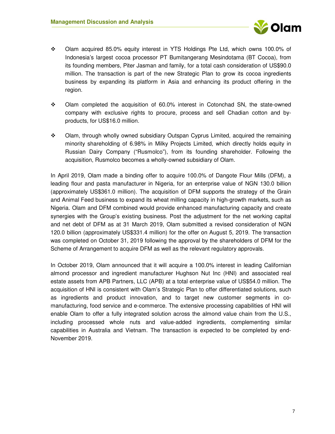

- Olam acquired 85.0% equity interest in YTS Holdings Pte Ltd, which owns 100.0% of Indonesia's largest cocoa processor PT Bumitangerang Mesindotama (BT Cocoa), from its founding members, Piter Jasman and family, for a total cash consideration of US\$90.0 million. The transaction is part of the new Strategic Plan to grow its cocoa ingredients business by expanding its platform in Asia and enhancing its product offering in the region.
- Olam completed the acquisition of 60.0% interest in Cotonchad SN, the state-owned company with exclusive rights to procure, process and sell Chadian cotton and byproducts, for US\$16.0 million.
- Olam, through wholly owned subsidiary Outspan Cyprus Limited, acquired the remaining minority shareholding of 6.98% in Milky Projects Limited, which directly holds equity in Russian Dairy Company ("Rusmolco"), from its founding shareholder. Following the acquisition, Rusmolco becomes a wholly-owned subsidiary of Olam.

In April 2019, Olam made a binding offer to acquire 100.0% of Dangote Flour Mills (DFM), a leading flour and pasta manufacturer in Nigeria, for an enterprise value of NGN 130.0 billion (approximately US\$361.0 million). The acquisition of DFM supports the strategy of the Grain and Animal Feed business to expand its wheat milling capacity in high-growth markets, such as Nigeria. Olam and DFM combined would provide enhanced manufacturing capacity and create synergies with the Group's existing business. Post the adjustment for the net working capital and net debt of DFM as at 31 March 2019, Olam submitted a revised consideration of NGN 120.0 billion (approximately US\$331.4 million) for the offer on August 5, 2019. The transaction was completed on October 31, 2019 following the approval by the shareholders of DFM for the Scheme of Arrangement to acquire DFM as well as the relevant regulatory approvals.

In October 2019, Olam announced that it will acquire a 100.0% interest in leading Californian almond processor and ingredient manufacturer Hughson Nut Inc (HNI) and associated real estate assets from APB Partners, LLC (APB) at a total enterprise value of US\$54.0 million. The acquisition of HNI is consistent with Olam's Strategic Plan to offer differentiated solutions, such as ingredients and product innovation, and to target new customer segments in comanufacturing, food service and e-commerce. The extensive processing capabilities of HNI will enable Olam to offer a fully integrated solution across the almond value chain from the U.S., including processed whole nuts and value-added ingredients, complementing similar capabilities in Australia and Vietnam. The transaction is expected to be completed by end-November 2019.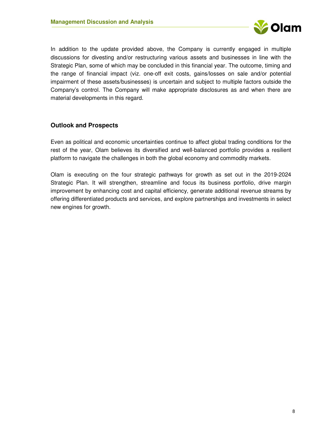

In addition to the update provided above, the Company is currently engaged in multiple discussions for divesting and/or restructuring various assets and businesses in line with the Strategic Plan, some of which may be concluded in this financial year. The outcome, timing and the range of financial impact (viz. one-off exit costs, gains/losses on sale and/or potential impairment of these assets/businesses) is uncertain and subject to multiple factors outside the Company's control. The Company will make appropriate disclosures as and when there are material developments in this regard.

### **Outlook and Prospects**

Even as political and economic uncertainties continue to affect global trading conditions for the rest of the year, Olam believes its diversified and well-balanced portfolio provides a resilient platform to navigate the challenges in both the global economy and commodity markets.

Olam is executing on the four strategic pathways for growth as set out in the 2019-2024 Strategic Plan. It will strengthen, streamline and focus its business portfolio, drive margin improvement by enhancing cost and capital efficiency, generate additional revenue streams by offering differentiated products and services, and explore partnerships and investments in select new engines for growth.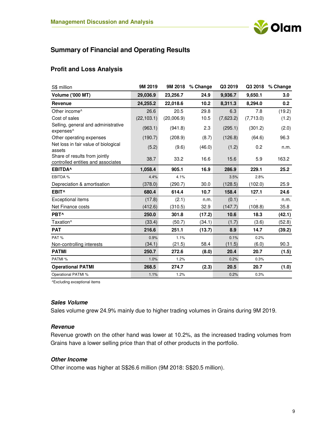

# **Summary of Financial and Operating Results**

### **Profit and Loss Analysis**

| S\$ million                                                         | 9M 2019     | 9M 2018    | % Change | Q3 2019   |           | Q3 2018 % Change |
|---------------------------------------------------------------------|-------------|------------|----------|-----------|-----------|------------------|
| <b>Volume ('000 MT)</b>                                             | 29,036.9    | 23,256.7   | 24.9     | 9,936.7   | 9,650.1   | 3.0              |
| Revenue                                                             | 24,255.2    | 22,018.6   | 10.2     | 8,311.3   | 8,294.0   | 0.2              |
| Other income <sup>^</sup>                                           | 26.6        | 20.5       | 29.8     | 6.3       | 7.8       | (19.2)           |
| Cost of sales                                                       | (22, 103.1) | (20,006.9) | 10.5     | (7,623.2) | (7,713.0) | (1.2)            |
| Selling, general and administrative<br>expenses^                    | (963.1)     | (941.8)    | 2.3      | (295.1)   | (301.2)   | (2.0)            |
| Other operating expenses                                            | (190.7)     | (208.9)    | (8.7)    | (126.8)   | (64.6)    | 96.3             |
| Net loss in fair value of biological<br>assets                      | (5.2)       | (9.6)      | (46.0)   | (1.2)     | 0.2       | n.m.             |
| Share of results from jointly<br>controlled entities and associates | 38.7        | 33.2       | 16.6     | 15.6      | 5.9       | 163.2            |
| <b>EBITDA</b>                                                       | 1,058.4     | 905.1      | 16.9     | 286.9     | 229.1     | 25.2             |
| EBITDA %                                                            | 4.4%        | 4.1%       |          | 3.5%      | 2.8%      |                  |
| Depreciation & amortisation                                         | (378.0)     | (290.7)    | 30.0     | (128.5)   | (102.0)   | 25.9             |
| EBIT <sup>^</sup>                                                   | 680.4       | 614.4      | 10.7     | 158.4     | 127.1     | 24.6             |
| <b>Exceptional items</b>                                            | (17.8)      | (2.1)      | n.m.     | (0.1)     |           | n.m.             |
| Net Finance costs                                                   | (412.6)     | (310.5)    | 32.9     | (147.7)   | (108.8)   | 35.8             |
| PBT^                                                                | 250.0       | 301.8      | (17.2)   | 10.6      | 18.3      | (42.1)           |
| Taxation <sup>^</sup>                                               | (33.4)      | (50.7)     | (34.1)   | (1.7)     | (3.6)     | (52.8)           |
| <b>PAT</b>                                                          | 216.6       | 251.1      | (13.7)   | 8.9       | 14.7      | (39.2)           |
| PAT%                                                                | 0.9%        | 1.1%       |          | 0.1%      | 0.2%      |                  |
| Non-controlling interests                                           | (34.1)      | (21.5)     | 58.4     | (11.5)    | (6.0)     | 90.3             |
| <b>PATMI</b>                                                        | 250.7       | 272.6      | (8.0)    | 20.4      | 20.7      | (1.5)            |
| PATMI %                                                             | 1.0%        | 1.2%       |          | 0.2%      | 0.3%      |                  |
| <b>Operational PATMI</b>                                            | 268.5       | 274.7      | (2.3)    | 20.5      | 20.7      | (1.0)            |
| Operational PATMI %                                                 | 1.1%        | 1.2%       |          | 0.2%      | 0.3%      |                  |

^Excluding exceptional items

#### **Sales Volume**

Sales volume grew 24.9% mainly due to higher trading volumes in Grains during 9M 2019.

### **Revenue**

Revenue growth on the other hand was lower at 10.2%, as the increased trading volumes from Grains have a lower selling price than that of other products in the portfolio.

#### **Other Income**

Other income was higher at S\$26.6 million (9M 2018: S\$20.5 million).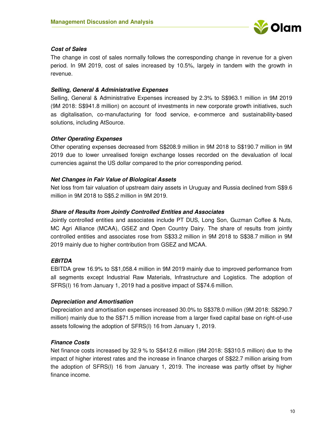

### **Cost of Sales**

The change in cost of sales normally follows the corresponding change in revenue for a given period. In 9M 2019, cost of sales increased by 10.5%, largely in tandem with the growth in revenue.

### **Selling, General & Administrative Expenses**

Selling, General & Administrative Expenses increased by 2.3% to S\$963.1 million in 9M 2019 (9M 2018: S\$941.8 million) on account of investments in new corporate growth initiatives, such as digitalisation, co-manufacturing for food service, e-commerce and sustainability-based solutions, including AtSource.

### **Other Operating Expenses**

Other operating expenses decreased from S\$208.9 million in 9M 2018 to S\$190.7 million in 9M 2019 due to lower unrealised foreign exchange losses recorded on the devaluation of local currencies against the US dollar compared to the prior corresponding period.

#### **Net Changes in Fair Value of Biological Assets**

Net loss from fair valuation of upstream dairy assets in Uruguay and Russia declined from S\$9.6 million in 9M 2018 to S\$5.2 million in 9M 2019.

### **Share of Results from Jointly Controlled Entities and Associates**

Jointly controlled entities and associates include PT DUS, Long Son, Guzman Coffee & Nuts, MC Agri Alliance (MCAA), GSEZ and Open Country Dairy. The share of results from jointly controlled entities and associates rose from S\$33.2 million in 9M 2018 to S\$38.7 million in 9M 2019 mainly due to higher contribution from GSEZ and MCAA.

### **EBITDA**

EBITDA grew 16.9% to S\$1,058.4 million in 9M 2019 mainly due to improved performance from all segments except Industrial Raw Materials, Infrastructure and Logistics. The adoption of SFRS(I) 16 from January 1, 2019 had a positive impact of S\$74.6 million.

### **Depreciation and Amortisation**

Depreciation and amortisation expenses increased 30.0% to S\$378.0 million (9M 2018: S\$290.7 million) mainly due to the S\$71.5 million increase from a larger fixed capital base on right-of-use assets following the adoption of SFRS(I) 16 from January 1, 2019.

### **Finance Costs**

Net finance costs increased by 32.9 % to S\$412.6 million (9M 2018: S\$310.5 million) due to the impact of higher interest rates and the increase in finance charges of S\$22.7 million arising from the adoption of SFRS(I) 16 from January 1, 2019. The increase was partly offset by higher finance income.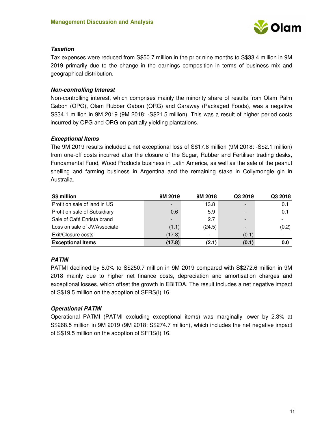

### **Taxation**

Tax expenses were reduced from S\$50.7 million in the prior nine months to S\$33.4 million in 9M 2019 primarily due to the change in the earnings composition in terms of business mix and geographical distribution.

### **Non-controlling Interest**

Non-controlling interest, which comprises mainly the minority share of results from Olam Palm Gabon (OPG), Olam Rubber Gabon (ORG) and Caraway (Packaged Foods), was a negative S\$34.1 million in 9M 2019 (9M 2018: -S\$21.5 million). This was a result of higher period costs incurred by OPG and ORG on partially yielding plantations.

### **Exceptional Items**

The 9M 2019 results included a net exceptional loss of S\$17.8 million (9M 2018: -S\$2.1 million) from one-off costs incurred after the closure of the Sugar, Rubber and Fertiliser trading desks, Fundamental Fund, Wood Products business in Latin America, as well as the sale of the peanut shelling and farming business in Argentina and the remaining stake in Collymongle gin in Australia.

| S\$ million                  | 9M 2019                  | 9M 2018 | Q3 2019                  | Q3 2018 |
|------------------------------|--------------------------|---------|--------------------------|---------|
| Profit on sale of land in US | $\overline{\phantom{a}}$ | 13.8    | $\overline{\phantom{a}}$ | 0.1     |
| Profit on sale of Subsidiary | 0.6                      | 5.9     | $\,$                     | 0.1     |
| Sale of Café Enrista brand   | $\overline{\phantom{a}}$ | 2.7     | $\blacksquare$           |         |
| Loss on sale of JV/Associate | (1.1)                    | (24.5)  | $\,$                     | (0.2)   |
| Exit/Closure costs           | (17.3)                   | -       | (0.1)                    |         |
| <b>Exceptional Items</b>     | (17.8)                   | (2.1)   | (0.1)                    | 0.0     |

### **PATMI**

PATMI declined by 8.0% to S\$250.7 million in 9M 2019 compared with S\$272.6 million in 9M 2018 mainly due to higher net finance costs, depreciation and amortisation charges and exceptional losses, which offset the growth in EBITDA. The result includes a net negative impact of S\$19.5 million on the adoption of SFRS(I) 16.

### **Operational PATMI**

Operational PATMI (PATMI excluding exceptional items) was marginally lower by 2.3% at S\$268.5 million in 9M 2019 (9M 2018: S\$274.7 million), which includes the net negative impact of S\$19.5 million on the adoption of SFRS(I) 16.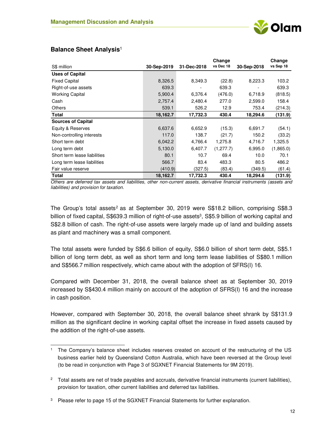|                              |             |             | Change     |             | Change    |
|------------------------------|-------------|-------------|------------|-------------|-----------|
| S\$ million                  | 30-Sep-2019 | 31-Dec-2018 | vs Dec 18  | 30-Sep-2018 | vs Sep 18 |
| <b>Uses of Capital</b>       |             |             |            |             |           |
| <b>Fixed Capital</b>         | 8,326.5     | 8,349.3     | (22.8)     | 8,223.3     | 103.2     |
| Right-of-use assets          | 639.3       |             | 639.3      |             | 639.3     |
| <b>Working Capital</b>       | 5,900.4     | 6,376.4     | (476.0)    | 6,718.9     | (818.5)   |
| Cash                         | 2,757.4     | 2,480.4     | 277.0      | 2,599.0     | 158.4     |
| <b>Others</b>                | 539.1       | 526.2       | 12.9       | 753.4       | (214.3)   |
| Total                        | 18,162.7    | 17,732.3    | 430.4      | 18,294.6    | (131.9)   |
| <b>Sources of Capital</b>    |             |             |            |             |           |
| Equity & Reserves            | 6,637.6     | 6,652.9     | (15.3)     | 6,691.7     | (54.1)    |
| Non-controlling interests    | 117.0       | 138.7       | (21.7)     | 150.2       | (33.2)    |
| Short term debt              | 6,042.2     | 4,766.4     | 1,275.8    | 4,716.7     | 1,325.5   |
| Long term debt               | 5,130.0     | 6,407.7     | (1, 277.7) | 6,995.0     | (1,865.0) |
| Short term lease liabilities | 80.1        | 10.7        | 69.4       | 10.0        | 70.1      |
| Long term lease liabilities  | 566.7       | 83.4        | 483.3      | 80.5        | 486.2     |
| Fair value reserve           | (410.9)     | (327.5)     | (83.4)     | (349.5)     | (61.4)    |
| Total                        | 18,162.7    | 17,732.3    | 430.4      | 18,294.6    | (131.9)   |

### **Balance Sheet Analysis**<sup>1</sup>

 $\overline{a}$ 

*Others are deferred tax assets and liabilities, other non-current assets, derivative financial instruments (assets and liabilities) and provision for taxation.* 

The Group's total assets<sup>2</sup> as at September 30, 2019 were S\$18.2 billion, comprising S\$8.3 billion of fixed capital, S\$639.3 million of right-of-use assets<sup>3</sup>, S\$5.9 billion of working capital and S\$2.8 billion of cash. The right-of-use assets were largely made up of land and building assets as plant and machinery was a small component.

The total assets were funded by S\$6.6 billion of equity, S\$6.0 billion of short term debt, S\$5.1 billion of long term debt, as well as short term and long term lease liabilities of S\$80.1 million and S\$566.7 million respectively, which came about with the adoption of SFRS(I) 16.

Compared with December 31, 2018, the overall balance sheet as at September 30, 2019 increased by S\$430.4 million mainly on account of the adoption of SFRS(I) 16 and the increase in cash position.

However, compared with September 30, 2018, the overall balance sheet shrank by S\$131.9 million as the significant decline in working capital offset the increase in fixed assets caused by the addition of the right-of-use assets.

<sup>1</sup> The Company's balance sheet includes reserves created on account of the restructuring of the US business earlier held by Queensland Cotton Australia, which have been reversed at the Group level (to be read in conjunction with Page 3 of SGXNET Financial Statements for 9M 2019).

 $2$  Total assets are net of trade payables and accruals, derivative financial instruments (current liabilities), provision for taxation, other current liabilities and deferred tax liabilities.

<sup>3</sup> Please refer to page 15 of the SGXNET Financial Statements for further explanation.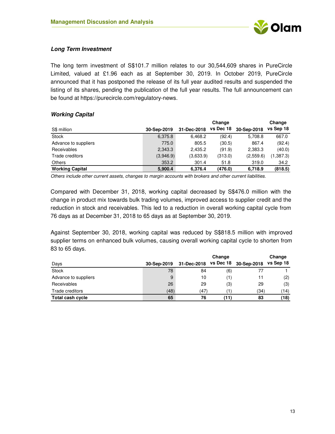

### **Long Term Investment**

The long term investment of S\$101.7 million relates to our 30,544,609 shares in PureCircle Limited, valued at £1.96 each as at September 30, 2019. In October 2019, PureCircle announced that it has postponed the release of its full year audited results and suspended the listing of its shares, pending the publication of the full year results. The full announcement can be found at https://purecircle.com/regulatory-news.

| <i><b>HOIMING Capital</b></i> |             |             |           |             |           |
|-------------------------------|-------------|-------------|-----------|-------------|-----------|
|                               |             |             | Change    |             | Change    |
| S\$ million                   | 30-Sep-2019 | 31-Dec-2018 | vs Dec 18 | 30-Sep-2018 | vs Sep 18 |
| <b>Stock</b>                  | 6,375.8     | 6.468.2     | (92.4)    | 5,708.8     | 667.0     |
| Advance to suppliers          | 775.0       | 805.5       | (30.5)    | 867.4       | (92.4)    |
| Receivables                   | 2,343.3     | 2.435.2     | (91.9)    | 2,383.3     | (40.0)    |
| Trade creditors               | (3,946.9)   | (3,633.9)   | (313.0)   | (2,559.6)   | (1,387.3) |
| Others                        | 353.2       | 301.4       | 51.8      | 319.0       | 34.2      |
| <b>Working Capital</b>        | 5,900.4     | 6.376.4     | (476.0)   | 6.718.9     | (818.5)   |

#### **Working Capital**

*Others include other current assets, changes to margin accounts with brokers and other current liabilities.*

Compared with December 31, 2018, working capital decreased by S\$476.0 million with the change in product mix towards bulk trading volumes, improved access to supplier credit and the reduction in stock and receivables. This led to a reduction in overall working capital cycle from 76 days as at December 31, 2018 to 65 days as at September 30, 2019.

Against September 30, 2018, working capital was reduced by S\$818.5 million with improved supplier terms on enhanced bulk volumes, causing overall working capital cycle to shorten from 83 to 65 days.

|                         |             |             | Change    |             | Change    |
|-------------------------|-------------|-------------|-----------|-------------|-----------|
| Days                    | 30-Sep-2019 | 31-Dec-2018 | vs Dec 18 | 30-Sep-2018 | vs Sep 18 |
| <b>Stock</b>            | 78          | 84          | (6)       |             |           |
| Advance to suppliers    | 9           | 10          | (1)       | 11          | (2)       |
| Receivables             | 26          | 29          | (3)       | 29          | (3)       |
| Trade creditors         | (48)        | (47)        |           | (34)        | (14)      |
| <b>Total cash cycle</b> | 65          | 76          | (11)      | 83          | (18)      |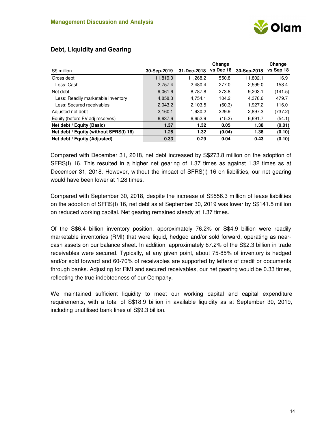|             |             | Change    |             | Change    |
|-------------|-------------|-----------|-------------|-----------|
| 30-Sep-2019 | 31-Dec-2018 | vs Dec 18 | 30-Sep-2018 | vs Sep 18 |
| 11,819.0    | 11,268.2    | 550.8     | 11.802.1    | 16.9      |
| 2,757.4     | 2,480.4     | 277.0     | 2,599.0     | 158.4     |
| 9.061.6     | 8,787.8     | 273.8     | 9,203.1     | (141.5)   |
| 4,858.3     | 4,754.1     | 104.2     | 4.378.6     | 479.7     |
| 2,043.2     | 2,103.5     | (60.3)    | 1.927.2     | 116.0     |
| 2,160.1     | 1,930.2     | 229.9     | 2,897.3     | (737.2)   |
| 6.637.6     | 6,652.9     | (15.3)    | 6,691.7     | (54.1)    |
| 1.37        | 1.32        | 0.05      | 1.38        | (0.01)    |
| 1.28        | 1.32        | (0.04)    | 1.38        | (0.10)    |
| 0.33        | 0.29        | 0.04      | 0.43        | (0.10)    |
|             |             |           |             |           |

**Change**

### **Debt, Liquidity and Gearing**

Compared with December 31, 2018, net debt increased by S\$273.8 million on the adoption of SFRS(I) 16. This resulted in a higher net gearing of 1.37 times as against 1.32 times as at December 31, 2018. However, without the impact of SFRS(I) 16 on liabilities, our net gearing would have been lower at 1.28 times.

Compared with September 30, 2018, despite the increase of S\$556.3 million of lease liabilities on the adoption of SFRS(I) 16, net debt as at September 30, 2019 was lower by S\$141.5 million on reduced working capital. Net gearing remained steady at 1.37 times.

Of the S\$6.4 billion inventory position, approximately 76.2% or S\$4.9 billion were readily marketable inventories (RMI) that were liquid, hedged and/or sold forward, operating as nearcash assets on our balance sheet. In addition, approximately 87.2% of the S\$2.3 billion in trade receivables were secured. Typically, at any given point, about 75-85% of inventory is hedged and/or sold forward and 60-70% of receivables are supported by letters of credit or documents through banks. Adjusting for RMI and secured receivables, our net gearing would be 0.33 times, reflecting the true indebtedness of our Company.

We maintained sufficient liquidity to meet our working capital and capital expenditure requirements, with a total of S\$18.9 billion in available liquidity as at September 30, 2019, including unutilised bank lines of S\$9.3 billion.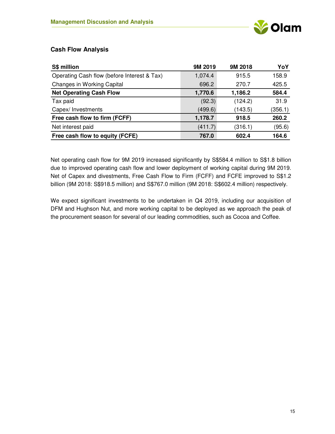

### **Cash Flow Analysis**

| S\$ million                                 | 9M 2019 | 9M 2018 | YoY     |
|---------------------------------------------|---------|---------|---------|
| Operating Cash flow (before Interest & Tax) | 1,074.4 | 915.5   | 158.9   |
| Changes in Working Capital                  | 696.2   | 270.7   | 425.5   |
| <b>Net Operating Cash Flow</b>              | 1,770.6 | 1,186.2 | 584.4   |
| Tax paid                                    | (92.3)  | (124.2) | 31.9    |
| Capex/Investments                           | (499.6) | (143.5) | (356.1) |
| Free cash flow to firm (FCFF)               | 1,178.7 | 918.5   | 260.2   |
| Net interest paid                           | (411.7) | (316.1) | (95.6)  |
| Free cash flow to equity (FCFE)             | 767.0   | 602.4   | 164.6   |

Net operating cash flow for 9M 2019 increased significantly by S\$584.4 million to S\$1.8 billion due to improved operating cash flow and lower deployment of working capital during 9M 2019. Net of Capex and divestments, Free Cash Flow to Firm (FCFF) and FCFE improved to S\$1.2 billion (9M 2018: S\$918.5 million) and S\$767.0 million (9M 2018: S\$602.4 million) respectively.

We expect significant investments to be undertaken in Q4 2019, including our acquisition of DFM and Hughson Nut, and more working capital to be deployed as we approach the peak of the procurement season for several of our leading commodities, such as Cocoa and Coffee.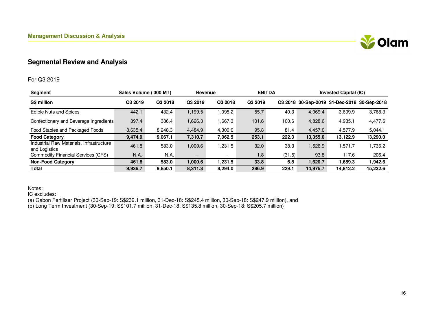

## **Segmental Review and Analysis**

#### For Q3 2019

| <b>Segment</b>                                            | Sales Volume ('000 MT) |         |                          | Revenue                  |         | <b>EBITDA</b> |          | <b>Invested Capital (IC)</b>                |          |  |
|-----------------------------------------------------------|------------------------|---------|--------------------------|--------------------------|---------|---------------|----------|---------------------------------------------|----------|--|
| S\$ million                                               | Q3 2019                | Q3 2018 | Q3 2019                  | Q3 2018                  | Q3 2019 |               |          | Q3 2018 30-Sep-2019 31-Dec-2018 30-Sep-2018 |          |  |
| Edible Nuts and Spices                                    | 442.1                  | 432.4   | 1,199.5                  | .095.2                   | 55.7    | 40.3          | 4,069.4  | 3,609.9                                     | 3,768.3  |  |
| Confectionery and Beverage Ingredients                    | 397.4                  | 386.4   | 1,626.3                  | 1,667.3                  | 101.6   | 100.6         | 4,828.6  | 4,935.1                                     | 4,477.6  |  |
| Food Staples and Packaged Foods                           | 8,635.4                | 8,248.3 | 4,484.9                  | 4,300.0                  | 95.8    | 81.4          | 4,457.0  | 4.577.9                                     | 5,044.1  |  |
| <b>Food Category</b>                                      | 9,474.9                | 9,067.1 | 7,310.7                  | 7,062.5                  | 253.1   | 222.3         | 13,355.0 | 13,122.9                                    | 13,290.0 |  |
| Industrial Raw Materials, Infrastructure<br>and Logistics | 461.8                  | 583.0   | 1,000.6                  | 1,231.5                  | 32.0    | 38.3          | 1,526.9  | 1,571.7                                     | 1,736.2  |  |
| <b>Commodity Financial Services (CFS)</b>                 | N.A.                   | N.A.    | $\overline{\phantom{0}}$ | $\overline{\phantom{a}}$ | 1.8     | (31.5)        | 93.8     | 117.6                                       | 206.4    |  |
| <b>Non-Food Category</b>                                  | 461.8                  | 583.0   | 1,000.6                  | 1,231.5                  | 33.8    | 6.8           | 1,620.7  | 1.689.3                                     | 1,942.6  |  |
| Total                                                     | 9,936.7                | 9,650.1 | 8,311.3                  | 8,294.0                  | 286.9   | 229.1         | 14.975.7 | 14,812.2                                    | 15,232.6 |  |

Notes:

IC excludes:

(a) Gabon Fertiliser Project (30-Sep-19: S\$239.1 million, 31-Dec-18: S\$245.4 million, 30-Sep-18: S\$247.9 million), and

(b) Long Term Investment (30-Sep-19: S\$101.7 million, 31-Dec-18: S\$135.8 million, 30-Sep-18: S\$205.7 million)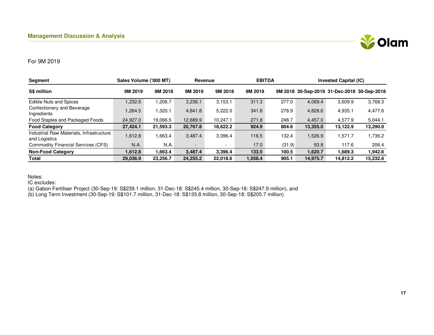

#### For 9M 2019

| Segment                                                   | Sales Volume ('000 MT) |          | Revenue  |          | <b>EBITDA</b> |        | <b>Invested Capital (IC)</b> |          |                                             |
|-----------------------------------------------------------|------------------------|----------|----------|----------|---------------|--------|------------------------------|----------|---------------------------------------------|
| S\$ million                                               | 9M 2019                | 9M 2018  | 9M 2019  | 9M 2018  | 9M 2019       |        |                              |          | 9M 2018 30-Sep-2019 31-Dec-2018 30-Sep-2018 |
| <b>Edible Nuts and Spices</b>                             | ,232.6                 | 1,206.7  | 3,236.1  | 3,153.1  | 311.3         | 277.0  | 4,069.4                      | 3,609.9  | 3,768.3                                     |
| Confectionery and Beverage<br>Ingredients                 | .264.5                 | 1,320.1  | 4,841.8  | 5,222.0  | 341.8         | 278.9  | 4,828.6                      | 4,935.1  | 4,477.6                                     |
| Food Staples and Packaged Foods                           | 24,927.0               | 19,066.5 | 12,689.9 | 10.247.1 | 271.8         | 248.7  | 4.457.0                      | 4.577.9  | 5,044.1                                     |
| <b>Food Category</b>                                      | 27,424.1               | 21,593.3 | 20,767.8 | 18,622.2 | 924.9         | 804.6  | 13,355.0                     | 13,122.9 | 13,290.0                                    |
| Industrial Raw Materials, Infrastructure<br>and Logistics | 1,612.8                | 1,663.4  | 3,487.4  | 3.396.4  | 116.5         | 132.4  | .526.9                       | 1.571.7  | 1,736.2                                     |
| Commodity Financial Services (CFS)                        | N.A.                   | N.A.     | -        |          | 17.0          | (31.9) | 93.8                         | 117.6    | 206.4                                       |
| <b>Non-Food Category</b>                                  | 1.612.8                | 1,663.4  | 3.487.4  | 3.396.4  | 133.5         | 100.5  | 1.620.7                      | 1.689.3  | 1,942.6                                     |
| Total                                                     | 29,036.9               | 23,256.7 | 24,255.2 | 22,018.6 | 1,058.4       | 905.1  | 14,975.7                     | 14,812.2 | 15,232.6                                    |

Notes:

IC excludes:

(a) Gabon Fertiliser Project (30-Sep-19: S\$239.1 million, 31-Dec-18: S\$245.4 million, 30-Sep-18: S\$247.9 million), and

(b) Long Term Investment (30-Sep-19: S\$101.7 million, 31-Dec-18: S\$135.8 million, 30-Sep-18: S\$205.7 million)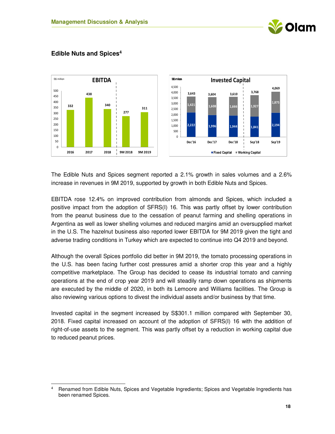



### **Edible Nuts and Spices<sup>4</sup>**

 $\overline{a}$ 

The Edible Nuts and Spices segment reported a 2.1% growth in sales volumes and a 2.6% increase in revenues in 9M 2019, supported by growth in both Edible Nuts and Spices.

EBITDA rose 12.4% on improved contribution from almonds and Spices, which included a positive impact from the adoption of SFRS(I) 16. This was partly offset by lower contribution from the peanut business due to the cessation of peanut farming and shelling operations in Argentina as well as lower shelling volumes and reduced margins amid an oversupplied market in the U.S. The hazelnut business also reported lower EBITDA for 9M 2019 given the tight and adverse trading conditions in Turkey which are expected to continue into Q4 2019 and beyond.

Although the overall Spices portfolio did better in 9M 2019, the tomato processing operations in the U.S. has been facing further cost pressures amid a shorter crop this year and a highly competitive marketplace. The Group has decided to cease its industrial tomato and canning operations at the end of crop year 2019 and will steadily ramp down operations as shipments are executed by the middle of 2020, in both its Lemoore and Williams facilities. The Group is also reviewing various options to divest the individual assets and/or business by that time.

Invested capital in the segment increased by S\$301.1 million compared with September 30, 2018. Fixed capital increased on account of the adoption of SFRS(I) 16 with the addition of right-of-use assets to the segment. This was partly offset by a reduction in working capital due to reduced peanut prices.

<sup>4</sup> Renamed from Edible Nuts, Spices and Vegetable Ingredients; Spices and Vegetable Ingredients has been renamed Spices.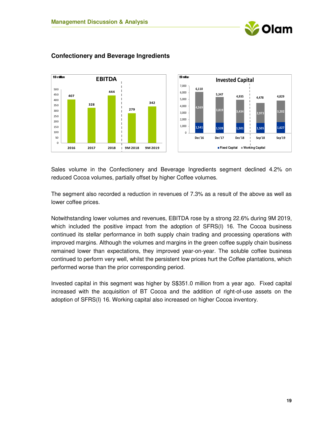



### **Confectionery and Beverage Ingredients**

Sales volume in the Confectionery and Beverage Ingredients segment declined 4.2% on reduced Cocoa volumes, partially offset by higher Coffee volumes.

The segment also recorded a reduction in revenues of 7.3% as a result of the above as well as lower coffee prices.

Notwithstanding lower volumes and revenues, EBITDA rose by a strong 22.6% during 9M 2019, which included the positive impact from the adoption of SFRS(I) 16. The Cocoa business continued its stellar performance in both supply chain trading and processing operations with improved margins. Although the volumes and margins in the green coffee supply chain business remained lower than expectations, they improved year-on-year. The soluble coffee business continued to perform very well, whilst the persistent low prices hurt the Coffee plantations, which performed worse than the prior corresponding period.

Invested capital in this segment was higher by S\$351.0 million from a year ago. Fixed capital increased with the acquisition of BT Cocoa and the addition of right-of-use assets on the adoption of SFRS(I) 16. Working capital also increased on higher Cocoa inventory.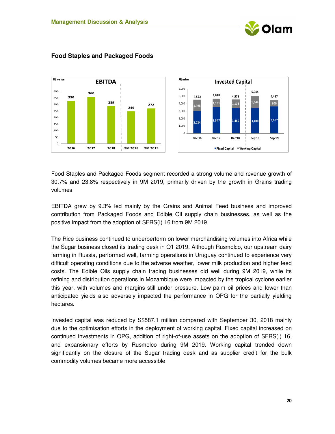



### **Food Staples and Packaged Foods**

Food Staples and Packaged Foods segment recorded a strong volume and revenue growth of 30.7% and 23.8% respectively in 9M 2019, primarily driven by the growth in Grains trading volumes.

EBITDA grew by 9.3% led mainly by the Grains and Animal Feed business and improved contribution from Packaged Foods and Edible Oil supply chain businesses, as well as the positive impact from the adoption of SFRS(I) 16 from 9M 2019.

The Rice business continued to underperform on lower merchandising volumes into Africa while the Sugar business closed its trading desk in Q1 2019. Although Rusmolco, our upstream dairy farming in Russia, performed well, farming operations in Uruguay continued to experience very difficult operating conditions due to the adverse weather, lower milk production and higher feed costs. The Edible Oils supply chain trading businesses did well during 9M 2019, while its refining and distribution operations in Mozambique were impacted by the tropical cyclone earlier this year, with volumes and margins still under pressure. Low palm oil prices and lower than anticipated yields also adversely impacted the performance in OPG for the partially yielding hectares.

Invested capital was reduced by S\$587.1 million compared with September 30, 2018 mainly due to the optimisation efforts in the deployment of working capital. Fixed capital increased on continued investments in OPG, addition of right-of-use assets on the adoption of SFRS(I) 16, and expansionary efforts by Rusmolco during 9M 2019. Working capital trended down significantly on the closure of the Sugar trading desk and as supplier credit for the bulk commodity volumes became more accessible.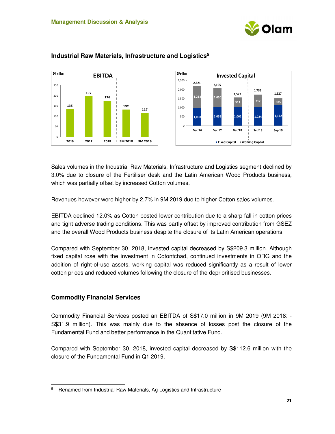





### **Industrial Raw Materials, Infrastructure and Logistics<sup>5</sup>**

Sales volumes in the Industrial Raw Materials, Infrastructure and Logistics segment declined by 3.0% due to closure of the Fertiliser desk and the Latin American Wood Products business, which was partially offset by increased Cotton volumes.

Revenues however were higher by 2.7% in 9M 2019 due to higher Cotton sales volumes.

EBITDA declined 12.0% as Cotton posted lower contribution due to a sharp fall in cotton prices and tight adverse trading conditions. This was partly offset by improved contribution from GSEZ and the overall Wood Products business despite the closure of its Latin American operations.

Compared with September 30, 2018, invested capital decreased by S\$209.3 million. Although fixed capital rose with the investment in Cotontchad, continued investments in ORG and the addition of right-of-use assets, working capital was reduced significantly as a result of lower cotton prices and reduced volumes following the closure of the deprioritised businesses.

### **Commodity Financial Services**

 $\overline{a}$ 

Commodity Financial Services posted an EBITDA of S\$17.0 million in 9M 2019 (9M 2018: - S\$31.9 million). This was mainly due to the absence of losses post the closure of the Fundamental Fund and better performance in the Quantitative Fund.

Compared with September 30, 2018, invested capital decreased by S\$112.6 million with the closure of the Fundamental Fund in Q1 2019.

<sup>&</sup>lt;sup>5</sup> Renamed from Industrial Raw Materials, Ag Logistics and Infrastructure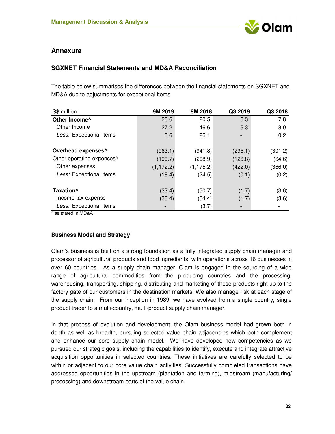

### **Annexure**

### **SGXNET Financial Statements and MD&A Reconciliation**

The table below summarises the differences between the financial statements on SGXNET and MD&A due to adjustments for exceptional items.

| S\$ million                            | 9M 2019    | 9M 2018    | Q3 2019 | Q3 2018 |
|----------------------------------------|------------|------------|---------|---------|
| Other Income^                          | 26.6       | 20.5       | 6.3     | 7.8     |
| Other Income                           | 27.2       | 46.6       | 6.3     | 8.0     |
| Less: Exceptional items                | 0.6        | 26.1       |         | 0.2     |
|                                        |            |            |         |         |
| Overhead expenses^                     | (963.1)    | (941.8)    | (295.1) | (301.2) |
| Other operating expenses^              | (190.7)    | (208.9)    | (126.8) | (64.6)  |
| Other expenses                         | (1, 172.2) | (1, 175.2) | (422.0) | (366.0) |
| Less: Exceptional items                | (18.4)     | (24.5)     | (0.1)   | (0.2)   |
|                                        |            |            |         |         |
| Taxation <sup>^</sup>                  | (33.4)     | (50.7)     | (1.7)   | (3.6)   |
| Income tax expense                     | (33.4)     | (54.4)     | (1.7)   | (3.6)   |
| Less: Exceptional items                |            | (3.7)      |         |         |
| $A \cup A \cup A \cup A \cup A \cup A$ |            |            |         |         |

^ as stated in MD&A

#### **Business Model and Strategy**

Olam's business is built on a strong foundation as a fully integrated supply chain manager and processor of agricultural products and food ingredients, with operations across 16 businesses in over 60 countries. As a supply chain manager, Olam is engaged in the sourcing of a wide range of agricultural commodities from the producing countries and the processing, warehousing, transporting, shipping, distributing and marketing of these products right up to the factory gate of our customers in the destination markets. We also manage risk at each stage of the supply chain. From our inception in 1989, we have evolved from a single country, single product trader to a multi-country, multi-product supply chain manager.

In that process of evolution and development, the Olam business model had grown both in depth as well as breadth, pursuing selected value chain adjacencies which both complement and enhance our core supply chain model. We have developed new competencies as we pursued our strategic goals, including the capabilities to identify, execute and integrate attractive acquisition opportunities in selected countries. These initiatives are carefully selected to be within or adjacent to our core value chain activities. Successfully completed transactions have addressed opportunities in the upstream (plantation and farming), midstream (manufacturing/ processing) and downstream parts of the value chain.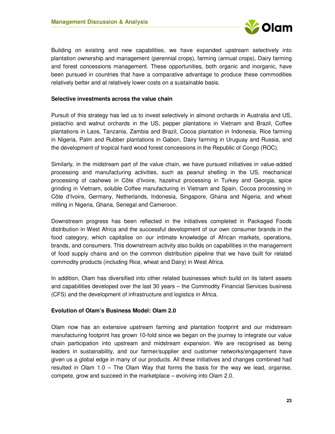

Building on existing and new capabilities, we have expanded upstream selectively into plantation ownership and management (perennial crops), farming (annual crops), Dairy farming and forest concessions management. These opportunities, both organic and inorganic, have been pursued in countries that have a comparative advantage to produce these commodities relatively better and at relatively lower costs on a sustainable basis.

#### **Selective investments across the value chain**

Pursuit of this strategy has led us to invest selectively in almond orchards in Australia and US, pistachio and walnut orchards in the US, pepper plantations in Vietnam and Brazil, Coffee plantations in Laos, Tanzania, Zambia and Brazil, Cocoa plantation in Indonesia, Rice farming in Nigeria, Palm and Rubber plantations in Gabon, Dairy farming in Uruguay and Russia, and the development of tropical hard wood forest concessions in the Republic of Congo (ROC).

Similarly, in the midstream part of the value chain, we have pursued initiatives in value-added processing and manufacturing activities, such as peanut shelling in the US, mechanical processing of cashews in Côte d'Ivoire, hazelnut processing in Turkey and Georgia, spice grinding in Vietnam, soluble Coffee manufacturing in Vietnam and Spain, Cocoa processing in Côte d'Ivoire, Germany, Netherlands, Indonesia, Singapore, Ghana and Nigeria, and wheat milling in Nigeria, Ghana, Senegal and Cameroon.

Downstream progress has been reflected in the initiatives completed in Packaged Foods distribution in West Africa and the successful development of our own consumer brands in the food category, which capitalise on our intimate knowledge of African markets, operations, brands, and consumers. This downstream activity also builds on capabilities in the management of food supply chains and on the common distribution pipeline that we have built for related commodity products (including Rice, wheat and Dairy) in West Africa.

In addition, Olam has diversified into other related businesses which build on its latent assets and capabilities developed over the last 30 years – the Commodity Financial Services business (CFS) and the development of infrastructure and logistics in Africa.

#### **Evolution of Olam's Business Model: Olam 2.0**

Olam now has an extensive upstream farming and plantation footprint and our midstream manufacturing footprint has grown 10-fold since we began on the journey to integrate our value chain participation into upstream and midstream expansion. We are recognised as being leaders in sustainability, and our farmer/supplier and customer networks/engagement have given us a global edge in many of our products. All these initiatives and changes combined had resulted in Olam 1.0 – The Olam Way that forms the basis for the way we lead, organise, compete, grow and succeed in the marketplace – evolving into Olam 2.0.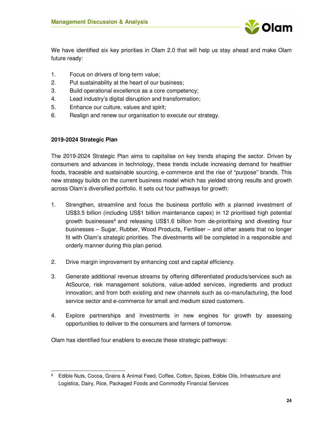

We have identified six key priorities in Olam 2.0 that will help us stay ahead and make Olam future ready:

- 1. Focus on drivers of long-term value;
- 2. Put sustainability at the heart of our business;
- 3. Build operational excellence as a core competency;
- 4. Lead industry's digital disruption and transformation;
- 5. Enhance our culture, values and spirit;
- 6. Realign and renew our organisation to execute our strategy.

#### **2019-2024 Strategic Plan**

l,

The 2019-2024 Strategic Plan aims to capitalise on key trends shaping the sector. Driven by consumers and advances in technology, these trends include increasing demand for healthier foods, traceable and sustainable sourcing, e-commerce and the rise of "purpose" brands. This new strategy builds on the current business model which has yielded strong results and growth across Olam's diversified portfolio. It sets out four pathways for growth:

- 1. Strengthen, streamline and focus the business portfolio with a planned investment of US\$3.5 billion (including US\$1 billion maintenance capex) in 12 prioritised high potential growth businesses<sup>6</sup> and releasing US\$1.6 billion from de-prioritising and divesting four businesses – Sugar, Rubber, Wood Products, Fertiliser – and other assets that no longer fit with Olam's strategic priorities. The divestments will be completed in a responsible and orderly manner during this plan period.
- 2. Drive margin improvement by enhancing cost and capital efficiency.
- 3. Generate additional revenue streams by offering differentiated products/services such as AtSource, risk management solutions, value-added services, ingredients and product innovation; and from both existing and new channels such as co-manufacturing, the food service sector and e-commerce for small and medium sized customers.
- 4. Explore partnerships and investments in new engines for growth by assessing opportunities to deliver to the consumers and farmers of tomorrow.

Olam has identified four enablers to execute these strategic pathways:

<sup>6</sup> Edible Nuts, Cocoa, Grains & Animal Feed, Coffee, Cotton, Spices, Edible Oils, Infrastructure and Logistics, Dairy, Rice, Packaged Foods and Commodity Financial Services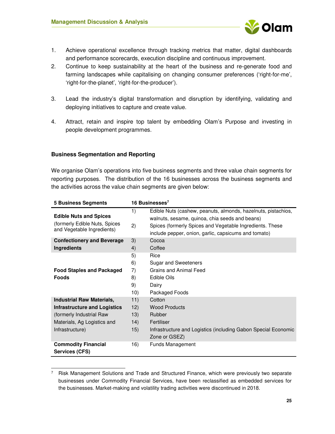

- 1. Achieve operational excellence through tracking metrics that matter, digital dashboards and performance scorecards, execution discipline and continuous improvement.
- 2. Continue to keep sustainability at the heart of the business and re-generate food and farming landscapes while capitalising on changing consumer preferences ('right-for-me', 'right-for-the-planet', 'right-for-the-producer').
- 3. Lead the industry's digital transformation and disruption by identifying, validating and deploying initiatives to capture and create value.
- 4. Attract, retain and inspire top talent by embedding Olam's Purpose and investing in people development programmes.

#### **Business Segmentation and Reporting**

.

We organise Olam's operations into five business segments and three value chain segments for reporting purposes. The distribution of the 16 businesses across the business segments and the activities across the value chain segments are given below:

| <b>5 Business Segments</b>                                                                                                                            |                                   | 16 Businesses <sup>7</sup>                                                                                                                                                                                                          |
|-------------------------------------------------------------------------------------------------------------------------------------------------------|-----------------------------------|-------------------------------------------------------------------------------------------------------------------------------------------------------------------------------------------------------------------------------------|
| <b>Edible Nuts and Spices</b><br>(formerly Edible Nuts, Spices<br>and Vegetable Ingredients)                                                          | 1)<br>2)                          | Edible Nuts (cashew, peanuts, almonds, hazelnuts, pistachios,<br>walnuts, sesame, quinoa, chia seeds and beans)<br>Spices (formerly Spices and Vegetable Ingredients. These<br>include pepper, onion, garlic, capsicums and tomato) |
| <b>Confectionery and Beverage</b><br>Ingredients                                                                                                      | 3)<br>4)                          | Cocoa<br>Coffee                                                                                                                                                                                                                     |
| <b>Food Staples and Packaged</b><br><b>Foods</b>                                                                                                      | 5)<br>6)<br>7)<br>8)<br>9)<br>10) | Rice<br>Sugar and Sweeteners<br>Grains and Animal Feed<br>Edible Oils<br>Dairy<br>Packaged Foods                                                                                                                                    |
| <b>Industrial Raw Materials,</b><br><b>Infrastructure and Logistics</b><br>(formerly Industrial Raw<br>Materials, Ag Logistics and<br>Infrastructure) | 11)<br>12)<br>13)<br>14)<br>15)   | Cotton<br><b>Wood Products</b><br>Rubber<br>Fertiliser<br>Infrastructure and Logistics (including Gabon Special Economic<br>Zone or GSEZ)                                                                                           |
| <b>Commodity Financial</b><br>Services (CFS)                                                                                                          | 16)                               | Funds Management                                                                                                                                                                                                                    |

<sup>7</sup> Risk Management Solutions and Trade and Structured Finance, which were previously two separate businesses under Commodity Financial Services, have been reclassified as embedded services for the businesses. Market-making and volatility trading activities were discontinued in 2018.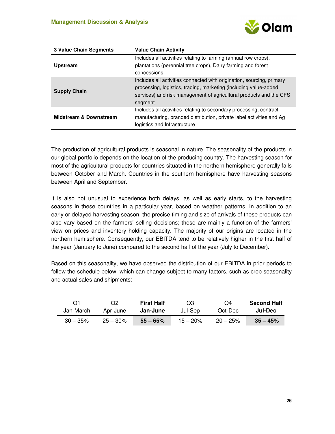

| <b>3 Value Chain Segments</b>     | <b>Value Chain Activity</b>                                                                                                                                                                                                |
|-----------------------------------|----------------------------------------------------------------------------------------------------------------------------------------------------------------------------------------------------------------------------|
| <b>Upstream</b>                   | Includes all activities relating to farming (annual row crops),<br>plantations (perennial tree crops), Dairy farming and forest<br>concessions                                                                             |
| <b>Supply Chain</b>               | Includes all activities connected with origination, sourcing, primary<br>processing, logistics, trading, marketing (including value-added<br>services) and risk management of agricultural products and the CFS<br>segment |
| <b>Midstream &amp; Downstream</b> | Includes all activities relating to secondary processing, contract<br>manufacturing, branded distribution, private label activities and Ag<br>logistics and Infrastructure                                                 |

The production of agricultural products is seasonal in nature. The seasonality of the products in our global portfolio depends on the location of the producing country. The harvesting season for most of the agricultural products for countries situated in the northern hemisphere generally falls between October and March. Countries in the southern hemisphere have harvesting seasons between April and September.

It is also not unusual to experience both delays, as well as early starts, to the harvesting seasons in these countries in a particular year, based on weather patterns. In addition to an early or delayed harvesting season, the precise timing and size of arrivals of these products can also vary based on the farmers' selling decisions; these are mainly a function of the farmers' view on prices and inventory holding capacity. The majority of our origins are located in the northern hemisphere. Consequently, our EBITDA tend to be relatively higher in the first half of the year (January to June) compared to the second half of the year (July to December).

Based on this seasonality, we have observed the distribution of our EBITDA in prior periods to follow the schedule below, which can change subject to many factors, such as crop seasonality and actual sales and shipments:

| O1          | O <sub>2</sub> | <b>First Half</b> | Q3         | O4         | <b>Second Half</b> |
|-------------|----------------|-------------------|------------|------------|--------------------|
| Jan-March   | Apr-June       | Jan-June          | Jul-Sep    | Oct-Dec    | Jul-Dec            |
| $30 - 35\%$ | $25 - 30\%$    | $55 - 65%$        | $15 - 20%$ | $20 - 25%$ | $35 - 45%$         |